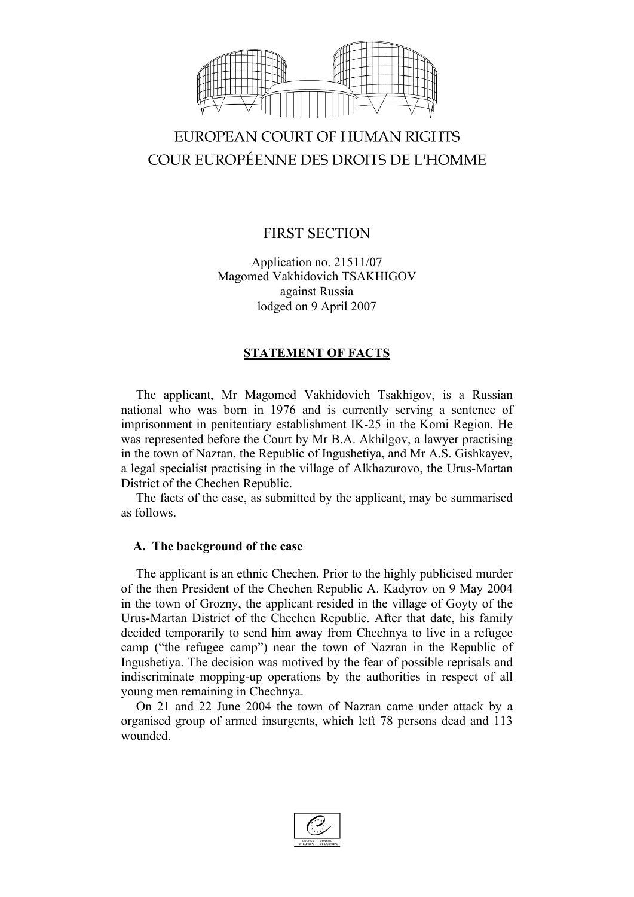

# EUROPEAN COURT OF HUMAN RIGHTS COUR EUROPÉENNE DES DROITS DE L'HOMME

# FIRST SECTION

Application no. 21511/07 Magomed Vakhidovich TSAKHIGOV against Russia lodged on 9 April 2007

# **STATEMENT OF FACTS**

The applicant, Mr Magomed Vakhidovich Tsakhigov, is a Russian national who was born in 1976 and is currently serving a sentence of imprisonment in penitentiary establishment IK-25 in the Komi Region. He was represented before the Court by Mr B.A. Akhilgov, a lawyer practising in the town of Nazran, the Republic of Ingushetiya, and Mr A.S. Gishkayev, a legal specialist practising in the village of Alkhazurovo, the Urus-Martan District of the Chechen Republic.

The facts of the case, as submitted by the applicant, may be summarised as follows.

# **A. The background of the case**

The applicant is an ethnic Chechen. Prior to the highly publicised murder of the then President of the Chechen Republic A. Kadyrov on 9 May 2004 in the town of Grozny, the applicant resided in the village of Goyty of the Urus-Martan District of the Chechen Republic. After that date, his family decided temporarily to send him away from Chechnya to live in a refugee camp ("the refugee camp") near the town of Nazran in the Republic of Ingushetiya. The decision was motived by the fear of possible reprisals and indiscriminate mopping-up operations by the authorities in respect of all young men remaining in Chechnya.

On 21 and 22 June 2004 the town of Nazran came under attack by a organised group of armed insurgents, which left 78 persons dead and 113 wounded.

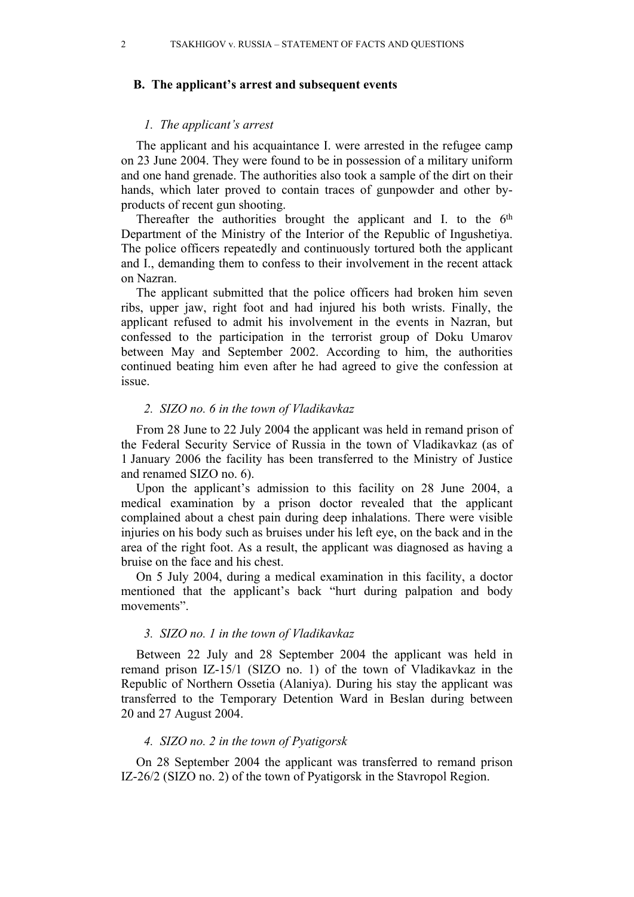### **B. The applicant's arrest and subsequent events**

#### *1. The applicant's arrest*

The applicant and his acquaintance I. were arrested in the refugee camp on 23 June 2004. They were found to be in possession of a military uniform and one hand grenade. The authorities also took a sample of the dirt on their hands, which later proved to contain traces of gunpowder and other byproducts of recent gun shooting.

Thereafter the authorities brought the applicant and I. to the  $6<sup>th</sup>$ Department of the Ministry of the Interior of the Republic of Ingushetiya. The police officers repeatedly and continuously tortured both the applicant and I., demanding them to confess to their involvement in the recent attack on Nazran.

The applicant submitted that the police officers had broken him seven ribs, upper jaw, right foot and had injured his both wrists. Finally, the applicant refused to admit his involvement in the events in Nazran, but confessed to the participation in the terrorist group of Doku Umarov between May and September 2002. According to him, the authorities continued beating him even after he had agreed to give the confession at issue.

### *2. SIZO no. 6 in the town of Vladikavkaz*

From 28 June to 22 July 2004 the applicant was held in remand prison of the Federal Security Service of Russia in the town of Vladikavkaz (as of 1 January 2006 the facility has been transferred to the Ministry of Justice and renamed SIZO no. 6).

Upon the applicant's admission to this facility on 28 June 2004, a medical examination by a prison doctor revealed that the applicant complained about a chest pain during deep inhalations. There were visible injuries on his body such as bruises under his left eye, on the back and in the area of the right foot. As a result, the applicant was diagnosed as having a bruise on the face and his chest.

On 5 July 2004, during a medical examination in this facility, a doctor mentioned that the applicant's back "hurt during palpation and body movements".

### *3. SIZO no. 1 in the town of Vladikavkaz*

Between 22 July and 28 September 2004 the applicant was held in remand prison IZ-15/1 (SIZO no. 1) of the town of Vladikavkaz in the Republic of Northern Ossetia (Alaniya). During his stay the applicant was transferred to the Temporary Detention Ward in Beslan during between 20 and 27 August 2004.

#### *4. SIZO no. 2 in the town of Pyatigorsk*

On 28 September 2004 the applicant was transferred to remand prison IZ-26/2 (SIZO no. 2) of the town of Pyatigorsk in the Stavropol Region.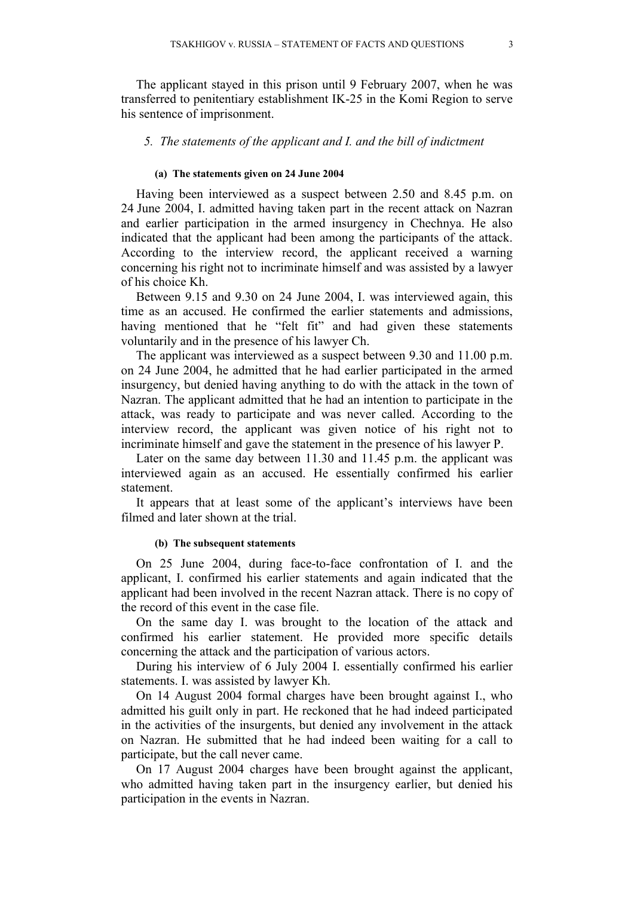The applicant stayed in this prison until 9 February 2007, when he was transferred to penitentiary establishment IK-25 in the Komi Region to serve his sentence of imprisonment.

# *5. The statements of the applicant and I. and the bill of indictment*

## **(a) The statements given on 24 June 2004**

Having been interviewed as a suspect between 2.50 and 8.45 p.m. on 24 June 2004, I. admitted having taken part in the recent attack on Nazran and earlier participation in the armed insurgency in Chechnya. He also indicated that the applicant had been among the participants of the attack. According to the interview record, the applicant received a warning concerning his right not to incriminate himself and was assisted by a lawyer of his choice Kh.

Between 9.15 and 9.30 on 24 June 2004, I. was interviewed again, this time as an accused. He confirmed the earlier statements and admissions, having mentioned that he "felt fit" and had given these statements voluntarily and in the presence of his lawyer Ch.

The applicant was interviewed as a suspect between 9.30 and 11.00 p.m. on 24 June 2004, he admitted that he had earlier participated in the armed insurgency, but denied having anything to do with the attack in the town of Nazran. The applicant admitted that he had an intention to participate in the attack, was ready to participate and was never called. According to the interview record, the applicant was given notice of his right not to incriminate himself and gave the statement in the presence of his lawyer P.

Later on the same day between 11.30 and 11.45 p.m. the applicant was interviewed again as an accused. He essentially confirmed his earlier statement.

It appears that at least some of the applicant's interviews have been filmed and later shown at the trial.

#### **(b) The subsequent statements**

On 25 June 2004, during face-to-face confrontation of I. and the applicant, I. confirmed his earlier statements and again indicated that the applicant had been involved in the recent Nazran attack. There is no copy of the record of this event in the case file.

On the same day I. was brought to the location of the attack and confirmed his earlier statement. He provided more specific details concerning the attack and the participation of various actors.

During his interview of 6 July 2004 I. essentially confirmed his earlier statements. I. was assisted by lawyer Kh.

On 14 August 2004 formal charges have been brought against I., who admitted his guilt only in part. He reckoned that he had indeed participated in the activities of the insurgents, but denied any involvement in the attack on Nazran. He submitted that he had indeed been waiting for a call to participate, but the call never came.

On 17 August 2004 charges have been brought against the applicant, who admitted having taken part in the insurgency earlier, but denied his participation in the events in Nazran.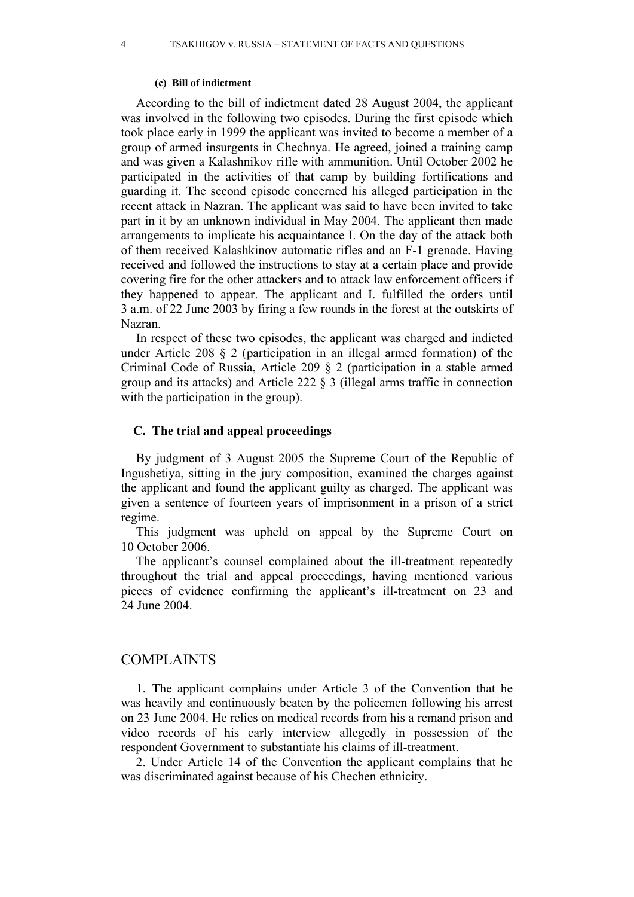#### **(c) Bill of indictment**

According to the bill of indictment dated 28 August 2004, the applicant was involved in the following two episodes. During the first episode which took place early in 1999 the applicant was invited to become a member of a group of armed insurgents in Chechnya. He agreed, joined a training camp and was given a Kalashnikov rifle with ammunition. Until October 2002 he participated in the activities of that camp by building fortifications and guarding it. The second episode concerned his alleged participation in the recent attack in Nazran. The applicant was said to have been invited to take part in it by an unknown individual in May 2004. The applicant then made arrangements to implicate his acquaintance I. On the day of the attack both of them received Kalashkinov automatic rifles and an F-1 grenade. Having received and followed the instructions to stay at a certain place and provide covering fire for the other attackers and to attack law enforcement officers if they happened to appear. The applicant and I. fulfilled the orders until 3 a.m. of 22 June 2003 by firing a few rounds in the forest at the outskirts of Nazran.

In respect of these two episodes, the applicant was charged and indicted under Article 208 § 2 (participation in an illegal armed formation) of the Criminal Code of Russia, Article 209 § 2 (participation in a stable armed group and its attacks) and Article 222 § 3 (illegal arms traffic in connection with the participation in the group).

# **C. The trial and appeal proceedings**

By judgment of 3 August 2005 the Supreme Court of the Republic of Ingushetiya, sitting in the jury composition, examined the charges against the applicant and found the applicant guilty as charged. The applicant was given a sentence of fourteen years of imprisonment in a prison of a strict regime.

This judgment was upheld on appeal by the Supreme Court on 10 October 2006.

The applicant's counsel complained about the ill-treatment repeatedly throughout the trial and appeal proceedings, having mentioned various pieces of evidence confirming the applicant's ill-treatment on 23 and 24 June 2004.

# COMPLAINTS

1. The applicant complains under Article 3 of the Convention that he was heavily and continuously beaten by the policemen following his arrest on 23 June 2004. He relies on medical records from his a remand prison and video records of his early interview allegedly in possession of the respondent Government to substantiate his claims of ill-treatment.

2. Under Article 14 of the Convention the applicant complains that he was discriminated against because of his Chechen ethnicity.